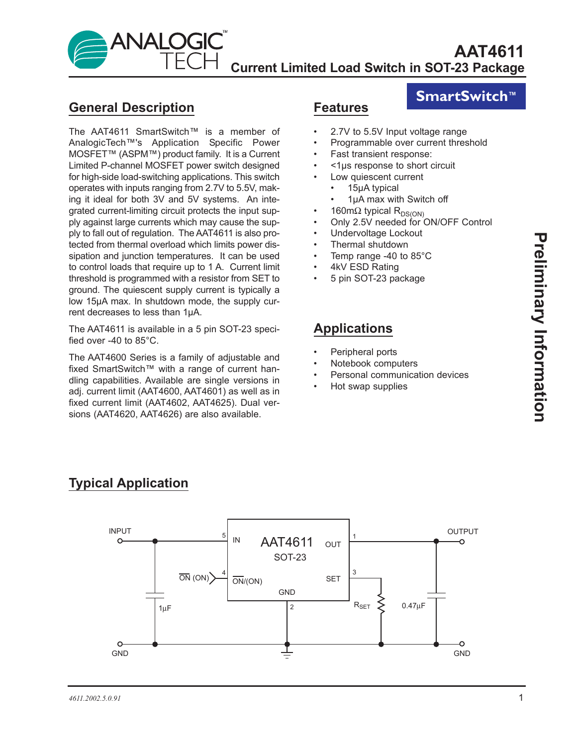

### **General Description**

The AAT4611 SmartSwitch™ is a member of AnalogicTech™'s Application Specific Power MOSFET™ (ASPM™) product family. It is a Current Limited P-channel MOSFET power switch designed for high-side load-switching applications. This switch operates with inputs ranging from 2.7V to 5.5V, making it ideal for both 3V and 5V systems. An integrated current-limiting circuit protects the input supply against large currents which may cause the supply to fall out of regulation. The AAT4611 is also protected from thermal overload which limits power dissipation and junction temperatures. It can be used to control loads that require up to 1 A. Current limit threshold is programmed with a resistor from SET to ground. The quiescent supply current is typically a low 15µA max. In shutdown mode, the supply current decreases to less than 1µA.

The AAT4611 is available in a 5 pin SOT-23 specified over -40 to 85°C.

The AAT4600 Series is a family of adjustable and fixed SmartSwitch™ with a range of current handling capabilities. Available are single versions in adj. current limit (AAT4600, AAT4601) as well as in fixed current limit (AAT4602, AAT4625). Dual versions (AAT4620, AAT4626) are also available.

### **Features**

## **SmartSwitch™**

- 2.7V to 5.5V Input voltage range
- Programmable over current threshold
- Fast transient response:
- <1µs response to short circuit
	- Low quiescent current
	- 15µA typical
	- 1µA max with Switch off
	- 160mΩ typical R<sub>DS(ON)</sub>
- Only 2.5V needed for ON/OFF Control
- Undervoltage Lockout
- Thermal shutdown
- Temp range -40 to 85°C
- 4kV ESD Rating
- 5 pin SOT-23 package

## **Applications**

- Peripheral ports
- Notebook computers
- Personal communication devices
- Hot swap supplies





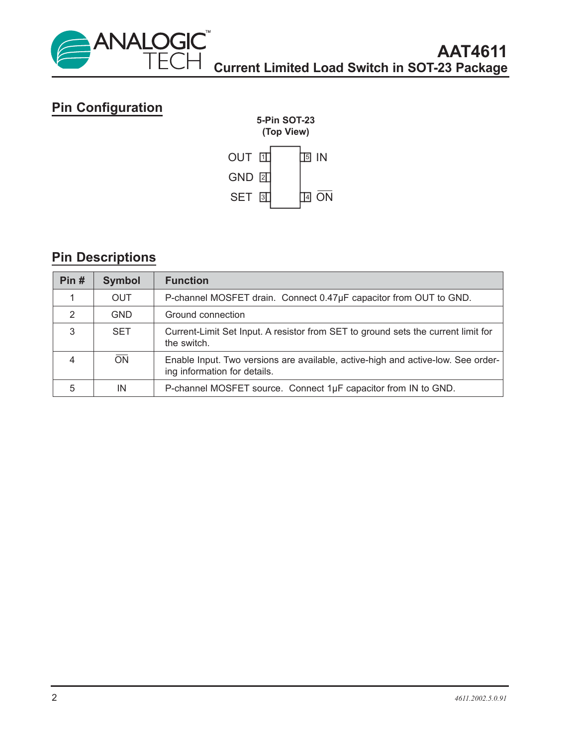

# **Pin Configuration**



# **Pin Descriptions**

| Pin#           | <b>Symbol</b> | <b>Function</b>                                                                                                  |  |
|----------------|---------------|------------------------------------------------------------------------------------------------------------------|--|
|                | <b>OUT</b>    | P-channel MOSFET drain. Connect 0.47µF capacitor from OUT to GND.                                                |  |
| 2              | <b>GND</b>    | Ground connection                                                                                                |  |
| 3              | <b>SET</b>    | Current-Limit Set Input. A resistor from SET to ground sets the current limit for<br>the switch.                 |  |
| $\overline{4}$ | ON            | Enable Input. Two versions are available, active-high and active-low. See order-<br>ing information for details. |  |
| 5              | IN            | P-channel MOSFET source. Connect 1µF capacitor from IN to GND.                                                   |  |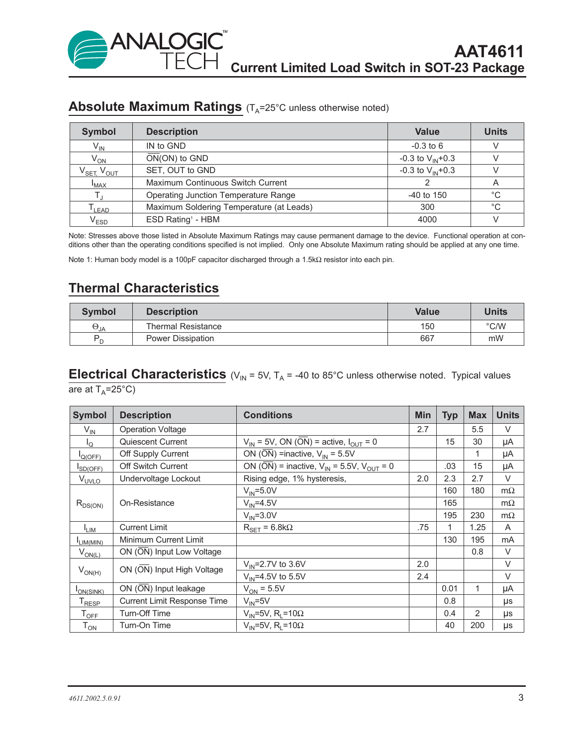### **Absolute Maximum Ratings** (T<sub>A</sub>=25°C unless otherwise noted)

| <b>Symbol</b>                       | <b>Description</b>                       | <b>Value</b>          | <b>Units</b> |
|-------------------------------------|------------------------------------------|-----------------------|--------------|
| $V_{IN}$                            | IN to GND                                | $-0.3$ to 6           |              |
| $V_{ON}$                            | $ON(ON)$ to $GND$                        | -0.3 to $V_{IN}$ +0.3 |              |
| $V_{\text{SET}}$ , $V_{\text{OUT}}$ | SET, OUT to GND                          | -0.3 to $V_{IN}$ +0.3 |              |
| $I_{MAX}$                           | Maximum Continuous Switch Current        |                       | A            |
|                                     | Operating Junction Temperature Range     | $-40$ to 150          | $^{\circ}$ C |
| $\mathsf{I}_{\mathsf{LEAD}}$        | Maximum Soldering Temperature (at Leads) | 300                   | $^{\circ}C$  |
| $\mathsf{V}_{\mathsf{ESD}}$         | ESD Rating <sup>1</sup> - HBM            | 4000                  |              |

Note: Stresses above those listed in Absolute Maximum Ratings may cause permanent damage to the device. Functional operation at conditions other than the operating conditions specified is not implied. Only one Absolute Maximum rating should be applied at any one time.

Note 1: Human body model is a 100pF capacitor discharged through a 1.5kΩ resistor into each pin.

## **Thermal Characteristics**

| <b>Symbol</b> | <b>Description</b> | <b>Value</b> | Units         |  |
|---------------|--------------------|--------------|---------------|--|
| $\Theta_{JA}$ | Thermal Resistance | 150          | $\degree$ C/W |  |
| P             | Power Dissipation  | 667          | mW            |  |

# **Electrical Characteristics**  $(V_{IN} = 5V, T_A = -40$  to 85°C unless otherwise noted. Typical values

are at  $T_A = 25^{\circ}C$ 

| <b>Symbol</b>                 | <b>Description</b>                 | <b>Conditions</b>                                                 | <b>Min</b> | <b>Typ</b> | <b>Max</b> | <b>Units</b> |
|-------------------------------|------------------------------------|-------------------------------------------------------------------|------------|------------|------------|--------------|
| $V_{IN}$                      | <b>Operation Voltage</b>           |                                                                   |            |            | 5.5        | V            |
| $I_{\rm Q}$                   | Quiescent Current                  | $V_{IN}$ = 5V, ON (ON) = active, $I_{OUIT}$ = 0                   |            | 15         | 30         | μA           |
| $I_{Q(OFF)}$                  | Off Supply Current                 | ON ( $\overline{ON}$ ) =inactive, $V_{IN}$ = 5.5V                 |            |            | 1          | μA           |
| SD(OFF)                       | <b>Off Switch Current</b>          | ON ( $\overline{ON}$ ) = inactive, $V_{IN}$ = 5.5V, $V_{OUT}$ = 0 |            | .03        | 15         | μA           |
| V <sub>UVLO</sub>             | Undervoltage Lockout               | Rising edge, 1% hysteresis,                                       |            | 2.3        | 2.7        | V            |
|                               | On-Resistance                      | $V_{IN} = 5.0V$                                                   |            | 160        | 180        | $m\Omega$    |
| $R_{DS(ON)}$                  |                                    | $V_{IN} = 4.5V$                                                   |            | 165        |            | $m\Omega$    |
|                               |                                    | $V_{IN} = 3.0V$                                                   |            | 195        | 230        | $m\Omega$    |
| $I_{LIM}$                     | <b>Current Limit</b>               | $R_{\text{SET}} = 6.8 k\Omega$                                    | .75        | 1          | 1.25       | A            |
| LIM(MIN)                      | Minimum Current Limit              |                                                                   |            | 130        | 195        | mA           |
| $V_{ON(L)}$                   | ON (ON) Input Low Voltage          |                                                                   |            |            | 0.8        | $\vee$       |
| $V_{ON(H)}$                   | ON (ON) Input High Voltage         | $V_{IN} = 2.7V$ to 3.6V                                           | 2.0        |            |            | V            |
|                               |                                    | $V_{IN} = 4.5V$ to 5.5V                                           | 2.4        |            |            | $\vee$       |
| I <sub>ON(SINK)</sub>         | ON (ON) Input leakage              | $V_{ON}$ = 5.5V                                                   |            | 0.01       |            | μA           |
| ${\mathsf T}_{\mathsf{RESP}}$ | <b>Current Limit Response Time</b> | $V_{IN} = 5V$                                                     |            | 0.8        |            | μs           |
| $\mathsf{T}_{\mathsf{OFF}}$   | Turn-Off Time                      | $V_{IN}$ =5V, R <sub>L</sub> =10 $\Omega$                         |            | 0.4        | 2          | μs           |
| $T_{ON}$                      | Turn-On Time                       | $V_{IN}$ =5V, R <sub>i</sub> =10 $\Omega$                         |            | 40         | 200        | μs           |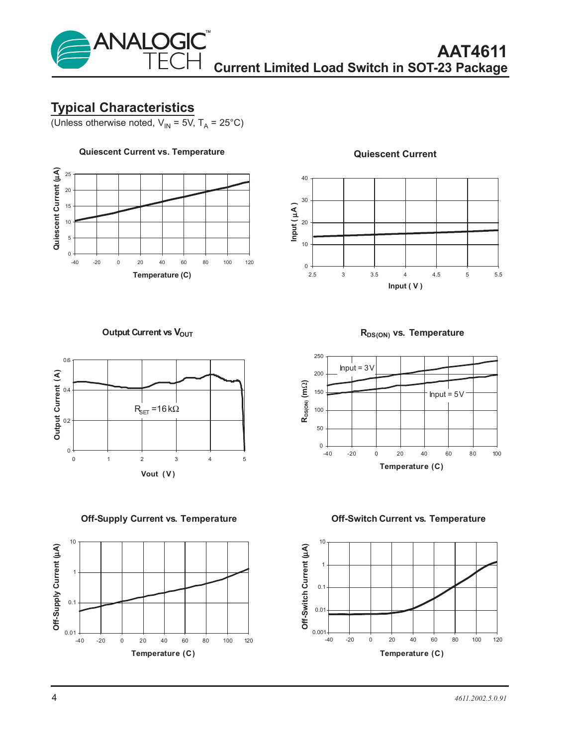

### **Typical Characteristics**

(Unless otherwise noted,  $V_{IN} = 5V$ ,  $T_A = 25^{\circ}C$ )



#### **Quiescent Current**



**Output Current vs VOUT** 



**Off-Supply Current vs. Temperature**



**RDS(ON) vs. Temperature**



**Off-Switch Current vs. Temperature**

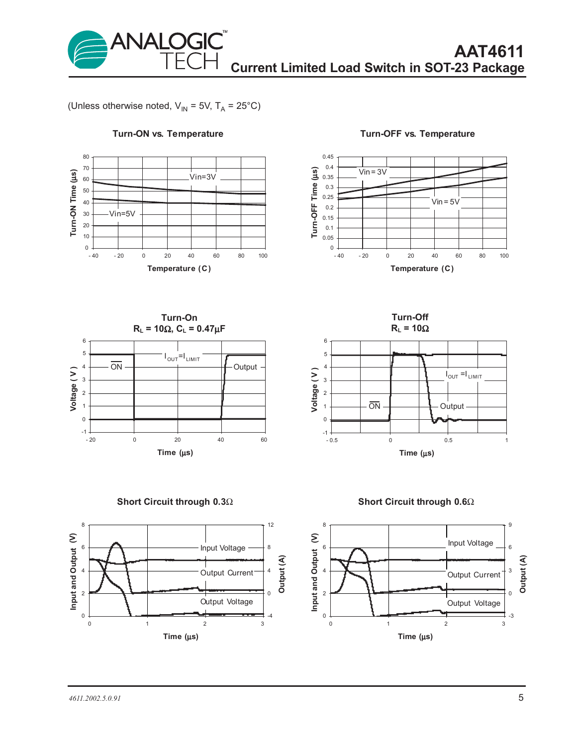

(Unless otherwise noted,  $V_{IN}$  = 5V, T<sub>A</sub> = 25°C)



#### **Turn-ON vs. Temperature**

**Turn-OFF vs. Temperature**



**Turn-Off**





**Short Circuit through 0.3**Ω



**Short Circuit through 0.6**Ω

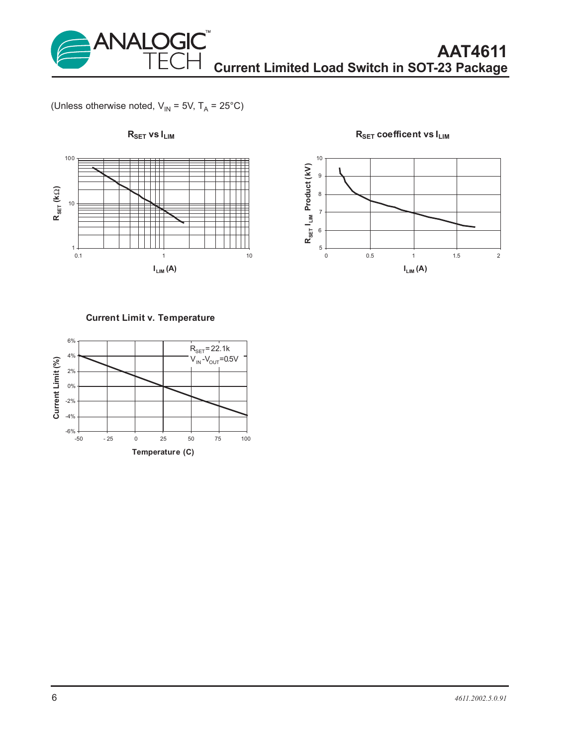

(Unless otherwise noted,  $V_{IN}$  = 5V, T<sub>A</sub> = 25°C)



**RSET coefficent vs ILIM**



#### **Current Limit v. Temperature**

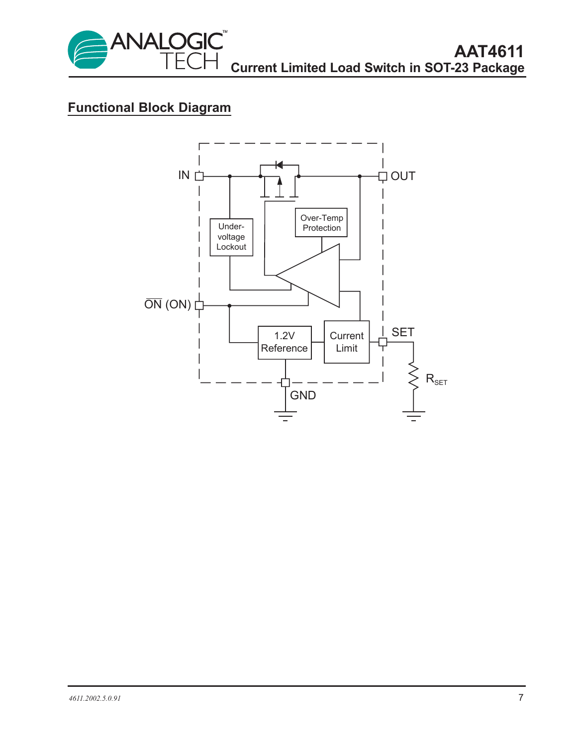

## **Functional Block Diagram**

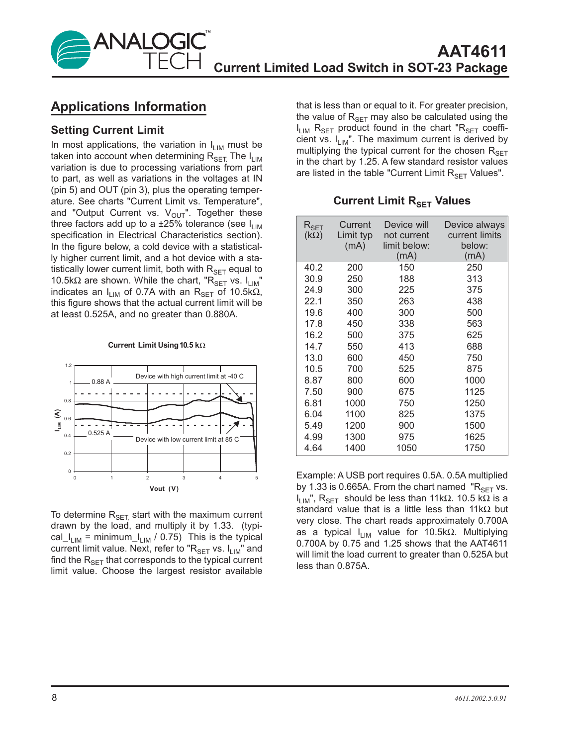

### **Applications Information**

### **Setting Current Limit**

In most applications, the variation in  $I_{LIM}$  must be taken into account when determining  $R_{\text{SFT}}$  The  $I_{\text{LIM}}$ variation is due to processing variations from part to part, as well as variations in the voltages at IN (pin 5) and OUT (pin 3), plus the operating temperature. See charts "Current Limit vs. Temperature", and "Output Current vs.  $V_{\text{OUT}}$ ". Together these three factors add up to a  $\pm 25\%$  tolerance (see  $I_{LIM}$ specification in Electrical Characteristics section). In the figure below, a cold device with a statistically higher current limit, and a hot device with a statistically lower current limit, both with  $R_{\text{SET}}$  equal to 10.5kΩ are shown. While the chart, "R<sub>SET</sub> vs.  $I_{LIM}$ " indicates an I<sub>LIM</sub> of 0.7A with an R<sub>SET</sub> of 10.5kΩ, this figure shows that the actual current limit will be at least 0.525A, and no greater than 0.880A.

#### **Current Limit Using10.5 k**Ω



To determine  $R_{\text{SET}}$  start with the maximum current drawn by the load, and multiply it by 1.33. (typical\_I<sub>LIM</sub> = minimum\_I<sub>LIM</sub> / 0.75) This is the typical current limit value. Next, refer to " $R_{\text{SET}}$  vs.  $I_{\text{LM}}$ " and find the  $R_{\text{SFT}}$  that corresponds to the typical current limit value. Choose the largest resistor available that is less than or equal to it. For greater precision, the value of  $R_{\text{SET}}$  may also be calculated using the  $I_{LIM}$  R<sub>SET</sub> product found in the chart "R<sub>SET</sub> coefficient vs.  $I_{LIM}$ ". The maximum current is derived by multiplying the typical current for the chosen  $R_{\text{SFT}}$ in the chart by 1.25. A few standard resistor values are listed in the table "Current Limit  $R_{\text{SET}}$  Values".

**Current Limit R<sub>SET</sub> Values** 

| $\mathsf{R}_{\mathsf{SET}}$<br>$(k\Omega)$ | Current<br>Limit typ<br>(mA) | Device will<br>not current<br>limit below:<br>(mA) | Device always<br>current limits<br>below:<br>(mA) |
|--------------------------------------------|------------------------------|----------------------------------------------------|---------------------------------------------------|
| 40.2                                       | 200                          | 150                                                | 250                                               |
| 30.9                                       | 250                          | 188                                                | 313                                               |
| 24.9                                       | 300                          | 225                                                | 375                                               |
| 22.1                                       | 350                          | 263                                                | 438                                               |
| 19.6                                       | 400                          | 300                                                | 500                                               |
| 17.8                                       | 450                          | 338                                                | 563                                               |
| 16.2                                       | 500                          | 375                                                | 625                                               |
| 14.7                                       | 550                          | 413                                                | 688                                               |
| 13.0                                       | 600                          | 450                                                | 750                                               |
| 10.5                                       | 700                          | 525                                                | 875                                               |
| 8.87                                       | 800                          | 600                                                | 1000                                              |
| 7.50                                       | 900                          | 675                                                | 1125                                              |
| 6.81                                       | 1000                         | 750                                                | 1250                                              |
| 6.04                                       | 1100                         | 825                                                | 1375                                              |
| 5.49                                       | 1200                         | 900                                                | 1500                                              |
| 4.99                                       | 1300                         | 975                                                | 1625                                              |
| 4.64                                       | 1400                         | 1050                                               | 1750                                              |

Example: A USB port requires 0.5A. 0.5A multiplied by 1.33 is 0.665A. From the chart named " $R_{\text{SFT}}$  vs.  $I_{LIM}$ ", R<sub>SFT</sub> should be less than 11kΩ. 10.5 kΩ is a standard value that is a little less than 11k $\Omega$  but very close. The chart reads approximately 0.700A as a typical  $I_{LIM}$  value for 10.5kΩ. Multiplying 0.700A by 0.75 and 1.25 shows that the AAT4611 will limit the load current to greater than 0.525A but less than 0.875A.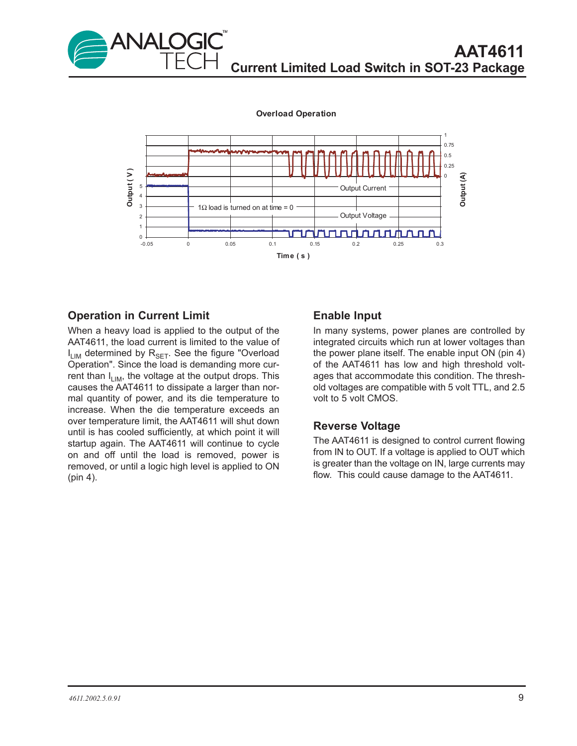

**Overload Operation**



### **Operation in Current Limit**

When a heavy load is applied to the output of the AAT4611, the load current is limited to the value of  $I_{LIM}$  determined by  $R_{SET}$ . See the figure "Overload Operation". Since the load is demanding more current than  $I_{LIM}$ , the voltage at the output drops. This causes the AAT4611 to dissipate a larger than normal quantity of power, and its die temperature to increase. When the die temperature exceeds an over temperature limit, the AAT4611 will shut down until is has cooled sufficiently, at which point it will startup again. The AAT4611 will continue to cycle on and off until the load is removed, power is removed, or until a logic high level is applied to ON (pin 4).

#### **Enable Input**

In many systems, power planes are controlled by integrated circuits which run at lower voltages than the power plane itself. The enable input ON (pin 4) of the AAT4611 has low and high threshold voltages that accommodate this condition. The threshold voltages are compatible with 5 volt TTL, and 2.5 volt to 5 volt CMOS.

#### **Reverse Voltage**

The AAT4611 is designed to control current flowing from IN to OUT. If a voltage is applied to OUT which is greater than the voltage on IN, large currents may flow. This could cause damage to the AAT4611.